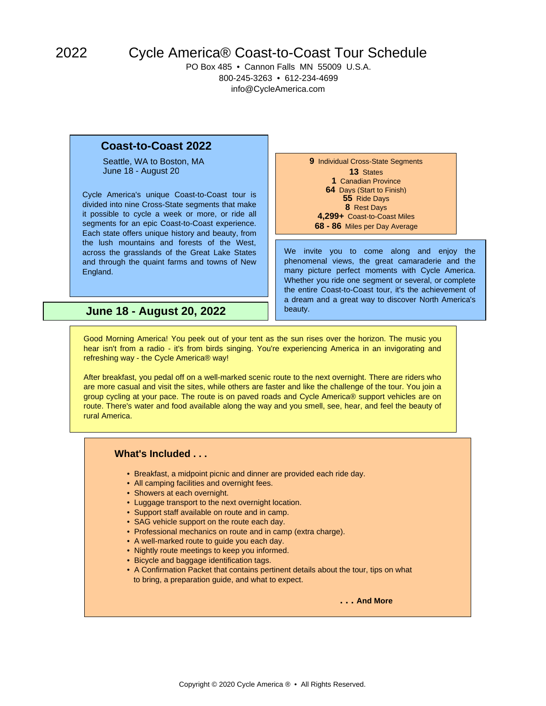2022

## Cycle America® Coast-to-Coast Tour Schedule

PO Box 485 • Cannon Falls MN 55009 U.S.A. 800-245-3263 • 612-234-4699 info@CycleAmerica.com

## **Coast-to-Coast 2022**

Seattle, WA to Boston, MA **9** Individual Cross-State Segments June 18 - August 20 **13** States

Cycle America's unique Coast-to-Coast tour is divided into nine Cross-State segments that make it possible to cycle a week or more, or ride all segments for an epic Coast-to-Coast experience. Each state offers unique history and beauty, from the lush mountains and forests of the West, across the grasslands of the Great Lake States and through the quaint farms and towns of New England.

 Canadian Province Days (Start to Finish) Ride Days Rest Days **4,299+** Coast-to-Coast Miles **68 - 86** Miles per Day Average

We invite you to come along and enjoy the phenomenal views, the great camaraderie and the many picture perfect moments with Cycle America. Whether you ride one segment or several, or complete the entire Coast-to-Coast tour, it's the achievement of a dream and a great way to discover North America's beauty.

**June 18 - August 20, 2022**

Good Morning America! You peek out of your tent as the sun rises over the horizon. The music you hear isn't from a radio - it's from birds singing. You're experiencing America in an invigorating and refreshing way - the Cycle America® way!

After breakfast, you pedal off on a well-marked scenic route to the next overnight. There are riders who are more casual and visit the sites, while others are faster and like the challenge of the tour. You join a group cycling at your pace. The route is on paved roads and Cycle America® support vehicles are on route. There's water and food available along the way and you smell, see, hear, and feel the beauty of rural America.

## **What's Included . . .**

- Breakfast, a midpoint picnic and dinner are provided each ride day.
- All camping facilities and overnight fees.
- Showers at each overnight.
- Luggage transport to the next overnight location.
- Support staff available on route and in camp.
- SAG vehicle support on the route each day.
- Professional mechanics on route and in camp (extra charge).
- A well-marked route to guide you each day.
- Nightly route meetings to keep you informed.
- Bicycle and baggage identification tags.
- A Confirmation Packet that contains pertinent details about the tour, tips on what to bring, a preparation guide, and what to expect.

**. . . And More**